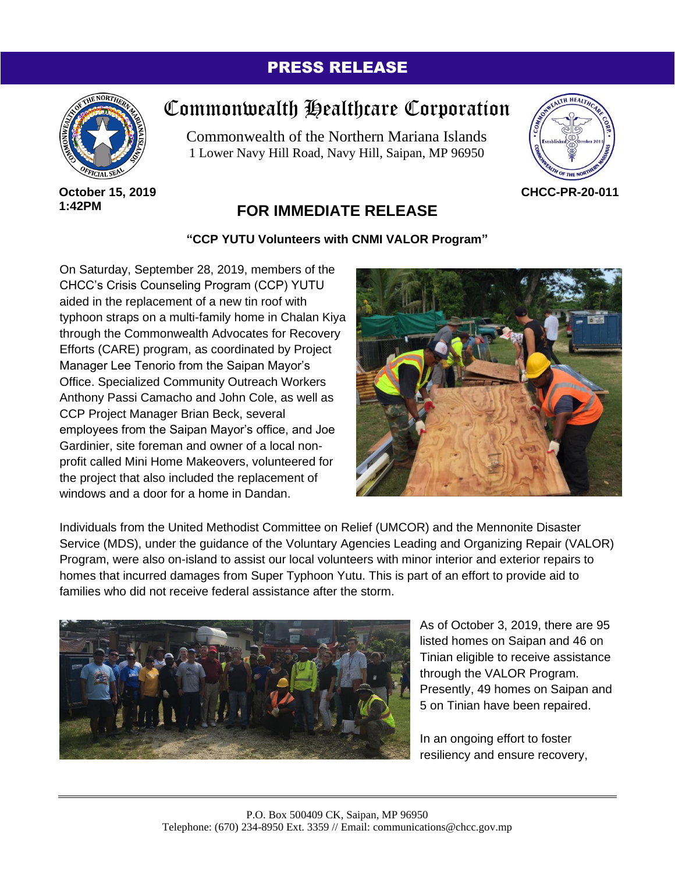## PRESS RELEASE



**October 15, 2019 1:42PM**

# Commonwealth Healthcare Corporation

Commonwealth of the Northern Mariana Islands 1 Lower Navy Hill Road, Navy Hill, Saipan, MP 96950



#### **CHCC-PR-20-011**

## **FOR IMMEDIATE RELEASE**

### **"CCP YUTU Volunteers with CNMI VALOR Program"**

On Saturday, September 28, 2019, members of the CHCC's Crisis Counseling Program (CCP) YUTU aided in the replacement of a new tin roof with typhoon straps on a multi-family home in Chalan Kiya through the Commonwealth Advocates for Recovery Efforts (CARE) program, as coordinated by Project Manager Lee Tenorio from the Saipan Mayor's Office. Specialized Community Outreach Workers Anthony Passi Camacho and John Cole, as well as CCP Project Manager Brian Beck, several employees from the Saipan Mayor's office, and Joe Gardinier, site foreman and owner of a local nonprofit called Mini Home Makeovers, volunteered for the project that also included the replacement of windows and a door for a home in Dandan.



Individuals from the United Methodist Committee on Relief (UMCOR) and the Mennonite Disaster Service (MDS), under the guidance of the Voluntary Agencies Leading and Organizing Repair (VALOR) Program, were also on-island to assist our local volunteers with minor interior and exterior repairs to homes that incurred damages from Super Typhoon Yutu. This is part of an effort to provide aid to families who did not receive federal assistance after the storm.



As of October 3, 2019, there are 95 listed homes on Saipan and 46 on Tinian eligible to receive assistance through the VALOR Program. Presently, 49 homes on Saipan and 5 on Tinian have been repaired.

In an ongoing effort to foster resiliency and ensure recovery,